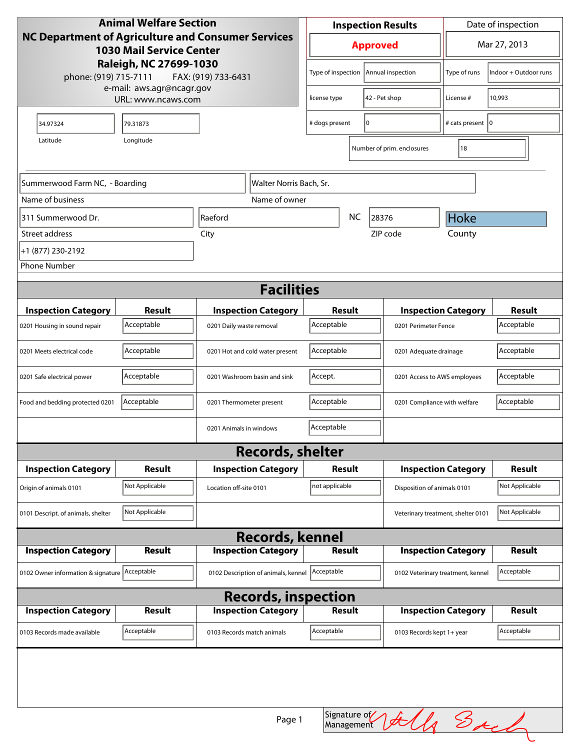| NC Department of Agriculture and Consumer Services<br>Mar 27, 2013<br><b>Approved</b><br><b>1030 Mail Service Center</b><br>Raleigh, NC 27699-1030<br>Type of inspection   Annual inspection<br>Type of runs<br>Indoor + Outdoor runs<br>phone: (919) 715-7111<br>FAX: (919) 733-6431<br>e-mail: aws.agr@ncagr.gov<br>10,993<br>42 - Pet shop<br>License #<br>URL: www.ncaws.com<br>license type<br>I٥<br># cats present   0<br># dogs present<br>34.97324<br>79.31873<br>Longitude<br>Latitude<br>18<br>Number of prim. enclosures<br>Summerwood Farm NC, - Boarding<br>Walter Norris Bach, Sr.<br>Name of business<br>Name of owner<br><b>NC</b><br>Hoke<br>311 Summerwood Dr.<br>Raeford<br>28376<br>County<br>ZIP code<br>Street address<br>City<br>+1 (877) 230-2192<br><b>Phone Number</b><br><b>Facilities</b><br><b>Result</b><br><b>Result</b><br><b>Inspection Category</b><br><b>Inspection Category</b><br>Result<br><b>Inspection Category</b><br>Acceptable<br>Acceptable<br>Acceptable<br>0201 Daily waste removal<br>0201 Perimeter Fence<br>0201 Housing in sound repair<br>Acceptable<br>Acceptable<br>Acceptable<br>0201 Meets electrical code<br>0201 Hot and cold water present<br>0201 Adequate drainage<br>Accept.<br>Acceptable<br>Acceptable<br>0201 Safe electrical power<br>0201 Washroom basin and sink<br>0201 Access to AWS employees<br>Acceptable<br>Acceptable<br>Acceptable<br>Food and bedding protected 0201<br>0201 Compliance with welfare<br>0201 Thermometer present<br>Acceptable<br>0201 Animals in windows<br><b>Records, shelter</b><br><b>Inspection Category</b><br><b>Result</b><br><b>Inspection Category</b><br>Result<br><b>Inspection Category</b><br>Result<br>Not Applicable<br>not applicable<br>Not Applicable<br>Location off-site 0101<br>Disposition of animals 0101<br>Origin of animals 0101<br>Not Applicable<br>Not Applicable<br>0101 Descript. of animals, shelter<br>Veterinary treatment, shelter 0101<br><b>Records, kennel</b><br><b>Inspection Category</b><br><b>Inspection Category</b><br><b>Inspection Category</b><br><b>Result</b><br>Result<br>Result<br>Acceptable<br>Acceptable<br>0102 Owner information & signature Acceptable<br>0102 Description of animals, kennel<br>0102 Veterinary treatment, kennel<br><b>Records, inspection</b><br><b>Inspection Category</b><br><b>Inspection Category</b><br><b>Result</b><br><b>Inspection Category</b><br><b>Result</b><br><b>Result</b><br>Acceptable<br>Acceptable<br>Acceptable<br>0103 Records made available<br>0103 Records match animals<br>0103 Records kept 1+ year | <b>Animal Welfare Section</b>              |  |  | <b>Inspection Results</b> |  |  | Date of inspection |  |
|-----------------------------------------------------------------------------------------------------------------------------------------------------------------------------------------------------------------------------------------------------------------------------------------------------------------------------------------------------------------------------------------------------------------------------------------------------------------------------------------------------------------------------------------------------------------------------------------------------------------------------------------------------------------------------------------------------------------------------------------------------------------------------------------------------------------------------------------------------------------------------------------------------------------------------------------------------------------------------------------------------------------------------------------------------------------------------------------------------------------------------------------------------------------------------------------------------------------------------------------------------------------------------------------------------------------------------------------------------------------------------------------------------------------------------------------------------------------------------------------------------------------------------------------------------------------------------------------------------------------------------------------------------------------------------------------------------------------------------------------------------------------------------------------------------------------------------------------------------------------------------------------------------------------------------------------------------------------------------------------------------------------------------------------------------------------------------------------------------------------------------------------------------------------------------------------------------------------------------------------------------------------------------------------------------------------------------------------------------------------------------------------------------------------------------------------------------------------------------------------------------------------------------------------------------------------------------------------------------------|--------------------------------------------|--|--|---------------------------|--|--|--------------------|--|
|                                                                                                                                                                                                                                                                                                                                                                                                                                                                                                                                                                                                                                                                                                                                                                                                                                                                                                                                                                                                                                                                                                                                                                                                                                                                                                                                                                                                                                                                                                                                                                                                                                                                                                                                                                                                                                                                                                                                                                                                                                                                                                                                                                                                                                                                                                                                                                                                                                                                                                                                                                                                           |                                            |  |  |                           |  |  |                    |  |
|                                                                                                                                                                                                                                                                                                                                                                                                                                                                                                                                                                                                                                                                                                                                                                                                                                                                                                                                                                                                                                                                                                                                                                                                                                                                                                                                                                                                                                                                                                                                                                                                                                                                                                                                                                                                                                                                                                                                                                                                                                                                                                                                                                                                                                                                                                                                                                                                                                                                                                                                                                                                           |                                            |  |  |                           |  |  |                    |  |
|                                                                                                                                                                                                                                                                                                                                                                                                                                                                                                                                                                                                                                                                                                                                                                                                                                                                                                                                                                                                                                                                                                                                                                                                                                                                                                                                                                                                                                                                                                                                                                                                                                                                                                                                                                                                                                                                                                                                                                                                                                                                                                                                                                                                                                                                                                                                                                                                                                                                                                                                                                                                           |                                            |  |  |                           |  |  |                    |  |
|                                                                                                                                                                                                                                                                                                                                                                                                                                                                                                                                                                                                                                                                                                                                                                                                                                                                                                                                                                                                                                                                                                                                                                                                                                                                                                                                                                                                                                                                                                                                                                                                                                                                                                                                                                                                                                                                                                                                                                                                                                                                                                                                                                                                                                                                                                                                                                                                                                                                                                                                                                                                           |                                            |  |  |                           |  |  |                    |  |
|                                                                                                                                                                                                                                                                                                                                                                                                                                                                                                                                                                                                                                                                                                                                                                                                                                                                                                                                                                                                                                                                                                                                                                                                                                                                                                                                                                                                                                                                                                                                                                                                                                                                                                                                                                                                                                                                                                                                                                                                                                                                                                                                                                                                                                                                                                                                                                                                                                                                                                                                                                                                           |                                            |  |  |                           |  |  |                    |  |
|                                                                                                                                                                                                                                                                                                                                                                                                                                                                                                                                                                                                                                                                                                                                                                                                                                                                                                                                                                                                                                                                                                                                                                                                                                                                                                                                                                                                                                                                                                                                                                                                                                                                                                                                                                                                                                                                                                                                                                                                                                                                                                                                                                                                                                                                                                                                                                                                                                                                                                                                                                                                           |                                            |  |  |                           |  |  |                    |  |
|                                                                                                                                                                                                                                                                                                                                                                                                                                                                                                                                                                                                                                                                                                                                                                                                                                                                                                                                                                                                                                                                                                                                                                                                                                                                                                                                                                                                                                                                                                                                                                                                                                                                                                                                                                                                                                                                                                                                                                                                                                                                                                                                                                                                                                                                                                                                                                                                                                                                                                                                                                                                           |                                            |  |  |                           |  |  |                    |  |
|                                                                                                                                                                                                                                                                                                                                                                                                                                                                                                                                                                                                                                                                                                                                                                                                                                                                                                                                                                                                                                                                                                                                                                                                                                                                                                                                                                                                                                                                                                                                                                                                                                                                                                                                                                                                                                                                                                                                                                                                                                                                                                                                                                                                                                                                                                                                                                                                                                                                                                                                                                                                           |                                            |  |  |                           |  |  |                    |  |
|                                                                                                                                                                                                                                                                                                                                                                                                                                                                                                                                                                                                                                                                                                                                                                                                                                                                                                                                                                                                                                                                                                                                                                                                                                                                                                                                                                                                                                                                                                                                                                                                                                                                                                                                                                                                                                                                                                                                                                                                                                                                                                                                                                                                                                                                                                                                                                                                                                                                                                                                                                                                           |                                            |  |  |                           |  |  |                    |  |
|                                                                                                                                                                                                                                                                                                                                                                                                                                                                                                                                                                                                                                                                                                                                                                                                                                                                                                                                                                                                                                                                                                                                                                                                                                                                                                                                                                                                                                                                                                                                                                                                                                                                                                                                                                                                                                                                                                                                                                                                                                                                                                                                                                                                                                                                                                                                                                                                                                                                                                                                                                                                           |                                            |  |  |                           |  |  |                    |  |
|                                                                                                                                                                                                                                                                                                                                                                                                                                                                                                                                                                                                                                                                                                                                                                                                                                                                                                                                                                                                                                                                                                                                                                                                                                                                                                                                                                                                                                                                                                                                                                                                                                                                                                                                                                                                                                                                                                                                                                                                                                                                                                                                                                                                                                                                                                                                                                                                                                                                                                                                                                                                           |                                            |  |  |                           |  |  |                    |  |
|                                                                                                                                                                                                                                                                                                                                                                                                                                                                                                                                                                                                                                                                                                                                                                                                                                                                                                                                                                                                                                                                                                                                                                                                                                                                                                                                                                                                                                                                                                                                                                                                                                                                                                                                                                                                                                                                                                                                                                                                                                                                                                                                                                                                                                                                                                                                                                                                                                                                                                                                                                                                           |                                            |  |  |                           |  |  |                    |  |
|                                                                                                                                                                                                                                                                                                                                                                                                                                                                                                                                                                                                                                                                                                                                                                                                                                                                                                                                                                                                                                                                                                                                                                                                                                                                                                                                                                                                                                                                                                                                                                                                                                                                                                                                                                                                                                                                                                                                                                                                                                                                                                                                                                                                                                                                                                                                                                                                                                                                                                                                                                                                           |                                            |  |  |                           |  |  |                    |  |
|                                                                                                                                                                                                                                                                                                                                                                                                                                                                                                                                                                                                                                                                                                                                                                                                                                                                                                                                                                                                                                                                                                                                                                                                                                                                                                                                                                                                                                                                                                                                                                                                                                                                                                                                                                                                                                                                                                                                                                                                                                                                                                                                                                                                                                                                                                                                                                                                                                                                                                                                                                                                           |                                            |  |  |                           |  |  |                    |  |
|                                                                                                                                                                                                                                                                                                                                                                                                                                                                                                                                                                                                                                                                                                                                                                                                                                                                                                                                                                                                                                                                                                                                                                                                                                                                                                                                                                                                                                                                                                                                                                                                                                                                                                                                                                                                                                                                                                                                                                                                                                                                                                                                                                                                                                                                                                                                                                                                                                                                                                                                                                                                           |                                            |  |  |                           |  |  |                    |  |
|                                                                                                                                                                                                                                                                                                                                                                                                                                                                                                                                                                                                                                                                                                                                                                                                                                                                                                                                                                                                                                                                                                                                                                                                                                                                                                                                                                                                                                                                                                                                                                                                                                                                                                                                                                                                                                                                                                                                                                                                                                                                                                                                                                                                                                                                                                                                                                                                                                                                                                                                                                                                           |                                            |  |  |                           |  |  |                    |  |
|                                                                                                                                                                                                                                                                                                                                                                                                                                                                                                                                                                                                                                                                                                                                                                                                                                                                                                                                                                                                                                                                                                                                                                                                                                                                                                                                                                                                                                                                                                                                                                                                                                                                                                                                                                                                                                                                                                                                                                                                                                                                                                                                                                                                                                                                                                                                                                                                                                                                                                                                                                                                           |                                            |  |  |                           |  |  |                    |  |
|                                                                                                                                                                                                                                                                                                                                                                                                                                                                                                                                                                                                                                                                                                                                                                                                                                                                                                                                                                                                                                                                                                                                                                                                                                                                                                                                                                                                                                                                                                                                                                                                                                                                                                                                                                                                                                                                                                                                                                                                                                                                                                                                                                                                                                                                                                                                                                                                                                                                                                                                                                                                           |                                            |  |  |                           |  |  |                    |  |
|                                                                                                                                                                                                                                                                                                                                                                                                                                                                                                                                                                                                                                                                                                                                                                                                                                                                                                                                                                                                                                                                                                                                                                                                                                                                                                                                                                                                                                                                                                                                                                                                                                                                                                                                                                                                                                                                                                                                                                                                                                                                                                                                                                                                                                                                                                                                                                                                                                                                                                                                                                                                           |                                            |  |  |                           |  |  |                    |  |
|                                                                                                                                                                                                                                                                                                                                                                                                                                                                                                                                                                                                                                                                                                                                                                                                                                                                                                                                                                                                                                                                                                                                                                                                                                                                                                                                                                                                                                                                                                                                                                                                                                                                                                                                                                                                                                                                                                                                                                                                                                                                                                                                                                                                                                                                                                                                                                                                                                                                                                                                                                                                           |                                            |  |  |                           |  |  |                    |  |
|                                                                                                                                                                                                                                                                                                                                                                                                                                                                                                                                                                                                                                                                                                                                                                                                                                                                                                                                                                                                                                                                                                                                                                                                                                                                                                                                                                                                                                                                                                                                                                                                                                                                                                                                                                                                                                                                                                                                                                                                                                                                                                                                                                                                                                                                                                                                                                                                                                                                                                                                                                                                           |                                            |  |  |                           |  |  |                    |  |
|                                                                                                                                                                                                                                                                                                                                                                                                                                                                                                                                                                                                                                                                                                                                                                                                                                                                                                                                                                                                                                                                                                                                                                                                                                                                                                                                                                                                                                                                                                                                                                                                                                                                                                                                                                                                                                                                                                                                                                                                                                                                                                                                                                                                                                                                                                                                                                                                                                                                                                                                                                                                           |                                            |  |  |                           |  |  |                    |  |
|                                                                                                                                                                                                                                                                                                                                                                                                                                                                                                                                                                                                                                                                                                                                                                                                                                                                                                                                                                                                                                                                                                                                                                                                                                                                                                                                                                                                                                                                                                                                                                                                                                                                                                                                                                                                                                                                                                                                                                                                                                                                                                                                                                                                                                                                                                                                                                                                                                                                                                                                                                                                           |                                            |  |  |                           |  |  |                    |  |
|                                                                                                                                                                                                                                                                                                                                                                                                                                                                                                                                                                                                                                                                                                                                                                                                                                                                                                                                                                                                                                                                                                                                                                                                                                                                                                                                                                                                                                                                                                                                                                                                                                                                                                                                                                                                                                                                                                                                                                                                                                                                                                                                                                                                                                                                                                                                                                                                                                                                                                                                                                                                           |                                            |  |  |                           |  |  |                    |  |
|                                                                                                                                                                                                                                                                                                                                                                                                                                                                                                                                                                                                                                                                                                                                                                                                                                                                                                                                                                                                                                                                                                                                                                                                                                                                                                                                                                                                                                                                                                                                                                                                                                                                                                                                                                                                                                                                                                                                                                                                                                                                                                                                                                                                                                                                                                                                                                                                                                                                                                                                                                                                           |                                            |  |  |                           |  |  |                    |  |
|                                                                                                                                                                                                                                                                                                                                                                                                                                                                                                                                                                                                                                                                                                                                                                                                                                                                                                                                                                                                                                                                                                                                                                                                                                                                                                                                                                                                                                                                                                                                                                                                                                                                                                                                                                                                                                                                                                                                                                                                                                                                                                                                                                                                                                                                                                                                                                                                                                                                                                                                                                                                           |                                            |  |  |                           |  |  |                    |  |
|                                                                                                                                                                                                                                                                                                                                                                                                                                                                                                                                                                                                                                                                                                                                                                                                                                                                                                                                                                                                                                                                                                                                                                                                                                                                                                                                                                                                                                                                                                                                                                                                                                                                                                                                                                                                                                                                                                                                                                                                                                                                                                                                                                                                                                                                                                                                                                                                                                                                                                                                                                                                           |                                            |  |  |                           |  |  |                    |  |
|                                                                                                                                                                                                                                                                                                                                                                                                                                                                                                                                                                                                                                                                                                                                                                                                                                                                                                                                                                                                                                                                                                                                                                                                                                                                                                                                                                                                                                                                                                                                                                                                                                                                                                                                                                                                                                                                                                                                                                                                                                                                                                                                                                                                                                                                                                                                                                                                                                                                                                                                                                                                           |                                            |  |  |                           |  |  |                    |  |
|                                                                                                                                                                                                                                                                                                                                                                                                                                                                                                                                                                                                                                                                                                                                                                                                                                                                                                                                                                                                                                                                                                                                                                                                                                                                                                                                                                                                                                                                                                                                                                                                                                                                                                                                                                                                                                                                                                                                                                                                                                                                                                                                                                                                                                                                                                                                                                                                                                                                                                                                                                                                           |                                            |  |  |                           |  |  |                    |  |
|                                                                                                                                                                                                                                                                                                                                                                                                                                                                                                                                                                                                                                                                                                                                                                                                                                                                                                                                                                                                                                                                                                                                                                                                                                                                                                                                                                                                                                                                                                                                                                                                                                                                                                                                                                                                                                                                                                                                                                                                                                                                                                                                                                                                                                                                                                                                                                                                                                                                                                                                                                                                           | Signature of July S <sub>A</sub><br>Page 1 |  |  |                           |  |  |                    |  |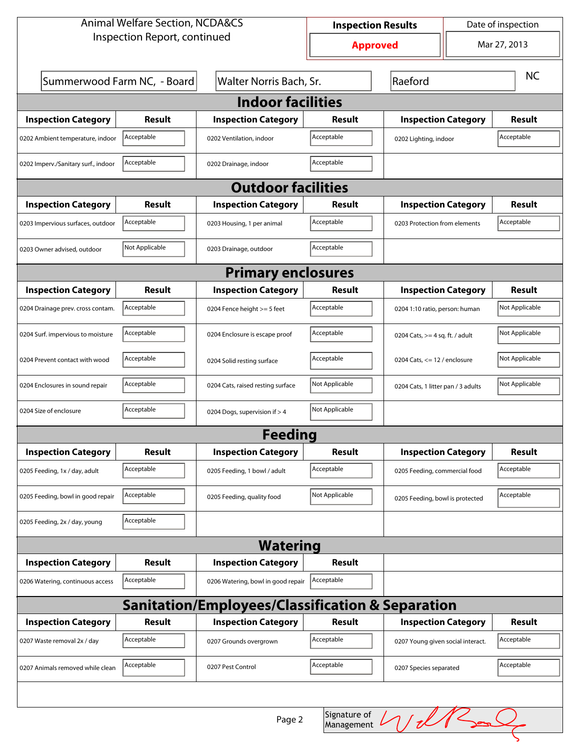| <b>Animal Welfare Section, NCDA&amp;CS</b>                                                                                      |                                                                   |                                    | Date of inspection<br><b>Inspection Results</b> |                                    |                                |                |  |
|---------------------------------------------------------------------------------------------------------------------------------|-------------------------------------------------------------------|------------------------------------|-------------------------------------------------|------------------------------------|--------------------------------|----------------|--|
| Inspection Report, continued                                                                                                    |                                                                   |                                    | <b>Approved</b>                                 |                                    |                                | Mar 27, 2013   |  |
|                                                                                                                                 | Summerwood Farm NC, - Board<br>Raeford<br>Walter Norris Bach, Sr. |                                    |                                                 |                                    | <b>NC</b>                      |                |  |
|                                                                                                                                 |                                                                   | <b>Indoor facilities</b>           |                                                 |                                    |                                |                |  |
| <b>Inspection Category</b>                                                                                                      | Result                                                            | <b>Inspection Category</b>         | Result                                          | <b>Inspection Category</b>         |                                | <b>Result</b>  |  |
| Acceptable<br>Acceptable<br>Acceptable<br>0202 Ambient temperature, indoor<br>0202 Ventilation, indoor<br>0202 Lighting, indoor |                                                                   |                                    |                                                 |                                    |                                |                |  |
| Acceptable<br>Acceptable<br>0202 Imperv./Sanitary surf., indoor<br>0202 Drainage, indoor                                        |                                                                   |                                    |                                                 |                                    |                                |                |  |
|                                                                                                                                 |                                                                   | <b>Outdoor facilities</b>          |                                                 |                                    |                                |                |  |
| <b>Inspection Category</b>                                                                                                      | Result                                                            | <b>Inspection Category</b>         | Result                                          | <b>Inspection Category</b>         |                                | Result         |  |
| 0203 Impervious surfaces, outdoor                                                                                               | Acceptable                                                        | 0203 Housing, 1 per animal         | Acceptable                                      | 0203 Protection from elements      |                                | Acceptable     |  |
| 0203 Owner advised, outdoor                                                                                                     | Not Applicable                                                    | 0203 Drainage, outdoor             | Acceptable                                      |                                    |                                |                |  |
| <b>Primary enclosures</b>                                                                                                       |                                                                   |                                    |                                                 |                                    |                                |                |  |
| <b>Inspection Category</b>                                                                                                      | Result                                                            | <b>Inspection Category</b>         | Result                                          | <b>Inspection Category</b>         |                                | <b>Result</b>  |  |
| 0204 Drainage prev. cross contam.                                                                                               | Acceptable                                                        | 0204 Fence height >= 5 feet        | Acceptable                                      | 0204 1:10 ratio, person: human     |                                | Not Applicable |  |
| 0204 Surf. impervious to moisture                                                                                               | Acceptable                                                        | 0204 Enclosure is escape proof     | Acceptable                                      | 0204 Cats, $>=$ 4 sq. ft. / adult  |                                | Not Applicable |  |
| 0204 Prevent contact with wood                                                                                                  | Acceptable                                                        | 0204 Solid resting surface         | Acceptable                                      |                                    | 0204 Cats, $<= 12$ / enclosure |                |  |
| 0204 Enclosures in sound repair                                                                                                 | Acceptable                                                        | 0204 Cats, raised resting surface  | Not Applicable                                  | 0204 Cats, 1 litter pan / 3 adults |                                | Not Applicable |  |
| 0204 Size of enclosure                                                                                                          | Not Applicable<br>Acceptable<br>0204 Dogs, supervision if > 4     |                                    |                                                 |                                    |                                |                |  |
| <b>Feeding</b>                                                                                                                  |                                                                   |                                    |                                                 |                                    |                                |                |  |
| <b>Inspection Category</b>                                                                                                      | <b>Result</b>                                                     | <b>Inspection Category</b>         | <b>Result</b>                                   | <b>Inspection Category</b>         |                                | <b>Result</b>  |  |
| 0205 Feeding, 1x / day, adult                                                                                                   | Acceptable                                                        | 0205 Feeding, 1 bowl / adult       | Acceptable                                      | 0205 Feeding, commercial food      |                                | Acceptable     |  |
| 0205 Feeding, bowl in good repair                                                                                               | Acceptable                                                        | 0205 Feeding, quality food         | Not Applicable                                  | 0205 Feeding, bowl is protected    |                                | Acceptable     |  |
| 0205 Feeding, 2x / day, young                                                                                                   | Acceptable                                                        |                                    |                                                 |                                    |                                |                |  |
| <b>Watering</b>                                                                                                                 |                                                                   |                                    |                                                 |                                    |                                |                |  |
| <b>Inspection Category</b>                                                                                                      | <b>Result</b>                                                     | <b>Inspection Category</b>         | <b>Result</b>                                   |                                    |                                |                |  |
| 0206 Watering, continuous access                                                                                                | Acceptable                                                        | 0206 Watering, bowl in good repair | Acceptable                                      |                                    |                                |                |  |
| Sanitation/Employees/Classification & Separation                                                                                |                                                                   |                                    |                                                 |                                    |                                |                |  |
| <b>Inspection Category</b>                                                                                                      | <b>Result</b>                                                     | <b>Inspection Category</b>         | <b>Result</b>                                   | <b>Inspection Category</b>         |                                | <b>Result</b>  |  |
| 0207 Waste removal 2x / day                                                                                                     | Acceptable                                                        | 0207 Grounds overgrown             | Acceptable                                      | 0207 Young given social interact.  |                                | Acceptable     |  |
| 0207 Animals removed while clean                                                                                                | Acceptable                                                        | 0207 Pest Control                  | Acceptable                                      | 0207 Species separated             |                                | Acceptable     |  |
|                                                                                                                                 |                                                                   |                                    |                                                 |                                    |                                |                |  |

When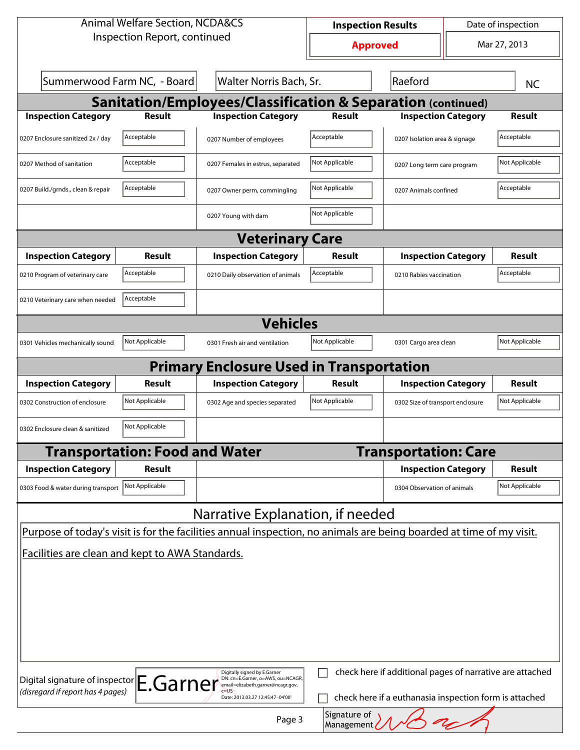| <b>Animal Welfare Section, NCDA&amp;CS</b>                                                                                                                                                                                                            |                |                                                                         | Date of inspection<br><b>Inspection Results</b> |                                  |  |                |  |
|-------------------------------------------------------------------------------------------------------------------------------------------------------------------------------------------------------------------------------------------------------|----------------|-------------------------------------------------------------------------|-------------------------------------------------|----------------------------------|--|----------------|--|
| Inspection Report, continued                                                                                                                                                                                                                          |                | <b>Approved</b>                                                         |                                                 | Mar 27, 2013                     |  |                |  |
| Summerwood Farm NC, - Board<br>Walter Norris Bach, Sr.                                                                                                                                                                                                |                |                                                                         |                                                 | Raeford                          |  | <b>NC</b>      |  |
|                                                                                                                                                                                                                                                       |                | <b>Sanitation/Employees/Classification &amp; Separation (continued)</b> |                                                 |                                  |  |                |  |
| <b>Inspection Category</b>                                                                                                                                                                                                                            | <b>Result</b>  | <b>Inspection Category</b>                                              | <b>Result</b>                                   | <b>Inspection Category</b>       |  | Result         |  |
| 0207 Enclosure sanitized 2x / day                                                                                                                                                                                                                     | Acceptable     | 0207 Number of employees                                                | Acceptable                                      | 0207 Isolation area & signage    |  | Acceptable     |  |
| 0207 Method of sanitation                                                                                                                                                                                                                             | Acceptable     | 0207 Females in estrus, separated                                       | Not Applicable                                  | 0207 Long term care program      |  | Not Applicable |  |
| 0207 Build./grnds., clean & repair                                                                                                                                                                                                                    | Acceptable     | 0207 Owner perm, commingling                                            | Not Applicable                                  | 0207 Animals confined            |  | Acceptable     |  |
|                                                                                                                                                                                                                                                       |                | 0207 Young with dam                                                     | Not Applicable                                  |                                  |  |                |  |
|                                                                                                                                                                                                                                                       |                | <b>Veterinary Care</b>                                                  |                                                 |                                  |  |                |  |
| <b>Inspection Category</b>                                                                                                                                                                                                                            | <b>Result</b>  | <b>Inspection Category</b>                                              | <b>Result</b>                                   | <b>Inspection Category</b>       |  | Result         |  |
| 0210 Program of veterinary care                                                                                                                                                                                                                       | Acceptable     | 0210 Daily observation of animals                                       | Acceptable                                      | 0210 Rabies vaccination          |  | Acceptable     |  |
| 0210 Veterinary care when needed                                                                                                                                                                                                                      | Acceptable     |                                                                         |                                                 |                                  |  |                |  |
| <b>Vehicles</b>                                                                                                                                                                                                                                       |                |                                                                         |                                                 |                                  |  |                |  |
| 0301 Vehicles mechanically sound                                                                                                                                                                                                                      | Not Applicable | 0301 Fresh air and ventilation                                          | Not Applicable                                  | 0301 Cargo area clean            |  | Not Applicable |  |
| <b>Primary Enclosure Used in Transportation</b>                                                                                                                                                                                                       |                |                                                                         |                                                 |                                  |  |                |  |
| <b>Inspection Category</b>                                                                                                                                                                                                                            | Result         | <b>Inspection Category</b>                                              | Result                                          | <b>Inspection Category</b>       |  | Result         |  |
| 0302 Construction of enclosure                                                                                                                                                                                                                        | Not Applicable | 0302 Age and species separated                                          | Not Applicable                                  | 0302 Size of transport enclosure |  | Not Applicable |  |
| Not Applicable<br>0302 Enclosure clean & sanitized                                                                                                                                                                                                    |                |                                                                         |                                                 |                                  |  |                |  |
| <b>Transportation: Food and Water</b><br><b>Transportation: Care</b>                                                                                                                                                                                  |                |                                                                         |                                                 |                                  |  |                |  |
| <b>Inspection Category</b>                                                                                                                                                                                                                            | Result         |                                                                         |                                                 | <b>Inspection Category</b>       |  | <b>Result</b>  |  |
| 0303 Food & water during transport                                                                                                                                                                                                                    | Not Applicable |                                                                         |                                                 | 0304 Observation of animals      |  | Not Applicable |  |
| Narrative Explanation, if needed                                                                                                                                                                                                                      |                |                                                                         |                                                 |                                  |  |                |  |
| Purpose of today's visit is for the facilities annual inspection, no animals are being boarded at time of my visit.                                                                                                                                   |                |                                                                         |                                                 |                                  |  |                |  |
| Facilities are clean and kept to AWA Standards.                                                                                                                                                                                                       |                |                                                                         |                                                 |                                  |  |                |  |
|                                                                                                                                                                                                                                                       |                |                                                                         |                                                 |                                  |  |                |  |
|                                                                                                                                                                                                                                                       |                |                                                                         |                                                 |                                  |  |                |  |
|                                                                                                                                                                                                                                                       |                |                                                                         |                                                 |                                  |  |                |  |
|                                                                                                                                                                                                                                                       |                |                                                                         |                                                 |                                  |  |                |  |
|                                                                                                                                                                                                                                                       |                |                                                                         |                                                 |                                  |  |                |  |
| check here if additional pages of narrative are attached<br>Digitally signed by E.Garner                                                                                                                                                              |                |                                                                         |                                                 |                                  |  |                |  |
| Digital signature of inspector E.Garner<br>DN: cn=E.Garner, o=AWS, ou=NCAGR,<br>email=elizabeth.garner@ncagr.gov,<br>(disregard if report has 4 pages)<br>check here if a euthanasia inspection form is attached<br>Date: 2013.03.27 12:45:47 -04'00' |                |                                                                         |                                                 |                                  |  |                |  |
| Signature of<br>Page 3<br>Management /                                                                                                                                                                                                                |                |                                                                         |                                                 |                                  |  |                |  |